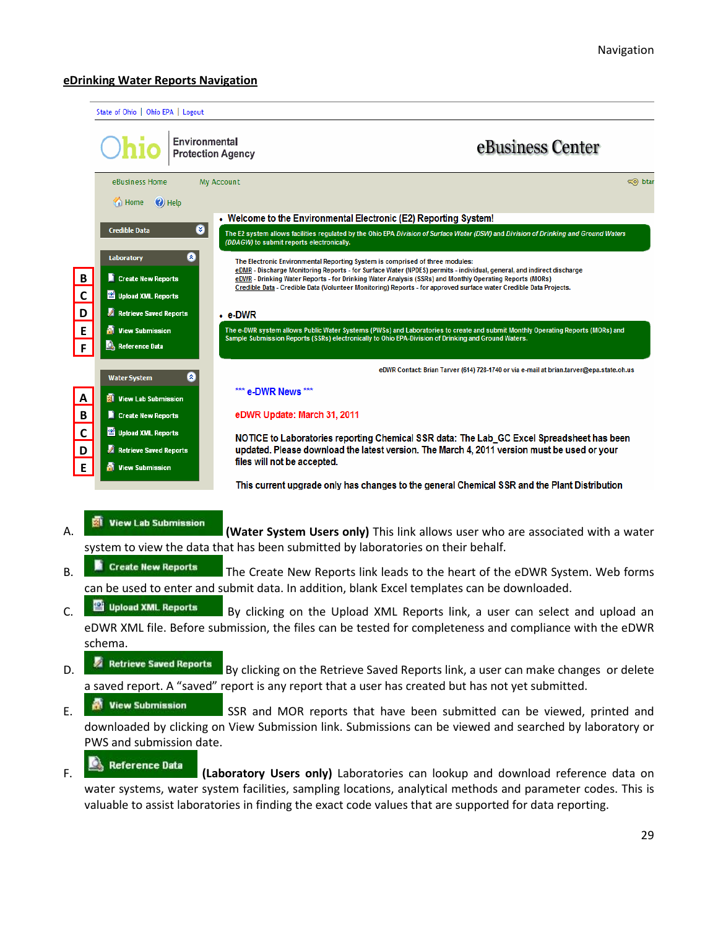## **eDrinking Water Reports Navigation**

|                  | State of Ohio   Ohio EPA   Logout                                        |                                                  |                                                                                                                                                                                                                                                                                                                                                                                                                                       |
|------------------|--------------------------------------------------------------------------|--------------------------------------------------|---------------------------------------------------------------------------------------------------------------------------------------------------------------------------------------------------------------------------------------------------------------------------------------------------------------------------------------------------------------------------------------------------------------------------------------|
|                  |                                                                          | <b>Environmental</b><br><b>Protection Agency</b> | eBusiness Center                                                                                                                                                                                                                                                                                                                                                                                                                      |
|                  | eBusiness Home                                                           | My Account                                       | o btar                                                                                                                                                                                                                                                                                                                                                                                                                                |
|                  | <b>O</b> Home<br>(b) Help                                                |                                                  |                                                                                                                                                                                                                                                                                                                                                                                                                                       |
|                  |                                                                          | ♥                                                | • Welcome to the Environmental Electronic (E2) Reporting System!                                                                                                                                                                                                                                                                                                                                                                      |
|                  | <b>Credible Data</b>                                                     |                                                  | The E2 system allows facilities regulated by the Ohio EPA <i>Division of Surface Water (DSW)</i> and <i>Division of Drinking and Ground Waters</i><br>(DDAGW) to submit reports electronically.                                                                                                                                                                                                                                       |
| B<br>$\mathbf C$ | Laboratory<br>Create New Reports<br>Upload XML Reports                   | ⊗                                                | The Electronic Environmental Reporting System is comprised of three modules:<br>eDMR - Discharge Monitoring Reports - for Surface Water (NPDES) permits - individual, general, and indirect discharge<br>eDWR - Drinking Water Reports - for Drinking Water Analysis (SSRs) and Monthly Operating Reports (MORs)<br>Credible Data - Credible Data (Volunteer Monitoring) Reports - for approved surface water Credible Data Projects. |
| D                | Retrieve Saved Reports                                                   | $\cdot$ e-DWR                                    |                                                                                                                                                                                                                                                                                                                                                                                                                                       |
| E                | <b>W</b> View Submission<br>Reference Data                               |                                                  | The e-DWR system allows Public Water Systems (PWSs) and Laboratories to create and submit Monthly Operating Reports (MORs) and<br>Sample Submission Reports (SSRs) electronically to Ohio EPA-Division of Drinking and Ground Waters.                                                                                                                                                                                                 |
|                  |                                                                          |                                                  | eDWR Contact: Brian Tarver (614) 728-1740 or via e-mail at brian.tarver@epa.state.oh.us                                                                                                                                                                                                                                                                                                                                               |
|                  | <b>Water System</b>                                                      |                                                  | *** e-DWR News ***                                                                                                                                                                                                                                                                                                                                                                                                                    |
| A                | <b>W</b> View Lab Submission                                             |                                                  |                                                                                                                                                                                                                                                                                                                                                                                                                                       |
| B                | Create New Reports                                                       |                                                  | eDWR Update: March 31, 2011                                                                                                                                                                                                                                                                                                                                                                                                           |
| C<br>D<br>Е      | Upload XML Reports<br>Retrieve Saved Reports<br><b>W</b> View Submission |                                                  | NOTICE to Laboratories reporting Chemical SSR data: The Lab_GC Excel Spreadsheet has been<br>updated. Please download the latest version. The March 4, 2011 version must be used or your<br>files will not be accepted.                                                                                                                                                                                                               |
|                  |                                                                          |                                                  | This current upgrade only has changes to the general Chemical SSR and the Plant Distribution                                                                                                                                                                                                                                                                                                                                          |
| А.               | View Lab Submission                                                      |                                                  | (Water System Users only) This link allows user who are associated with a water<br>system to view the data that has been submitted by laboratories on their behalf.                                                                                                                                                                                                                                                                   |
| B.               | <b>Create New Reports</b>                                                |                                                  | The Create New Reports link leads to the heart of the eDWR System. Web forms                                                                                                                                                                                                                                                                                                                                                          |
|                  |                                                                          |                                                  | can be used to enter and submit data. In addition, blank Excel templates can be downloaded.                                                                                                                                                                                                                                                                                                                                           |
| Ċ.               | Upload XML Reports                                                       |                                                  | By clicking on the Upload XML Reports link, a user can select and upload an<br>eDWR XML file. Before submission, the files can be tested for completeness and compliance with the eDWR                                                                                                                                                                                                                                                |
|                  | schema.                                                                  |                                                  |                                                                                                                                                                                                                                                                                                                                                                                                                                       |
| D.               | <b>Retrieve Saved Reports</b>                                            |                                                  | By clicking on the Retrieve Saved Reports link, a user can make changes or delete                                                                                                                                                                                                                                                                                                                                                     |
|                  |                                                                          |                                                  | a saved report. A "saved" report is any report that a user has created but has not yet submitted.                                                                                                                                                                                                                                                                                                                                     |

E. **Solution is a submission** SSR and MOR reports that have been submitted can be viewed, printed and downloaded by clicking on View Submission link. Submissions can be viewed and searched by laboratory or PWS and submission date.

**E. But also in the Caboratory Users only)** Laboratories can lookup and download reference data on water systems, water system facilities, sampling locations, analytical methods and parameter codes. This is valuable to assist laboratories in finding the exact code values that are supported for data reporting.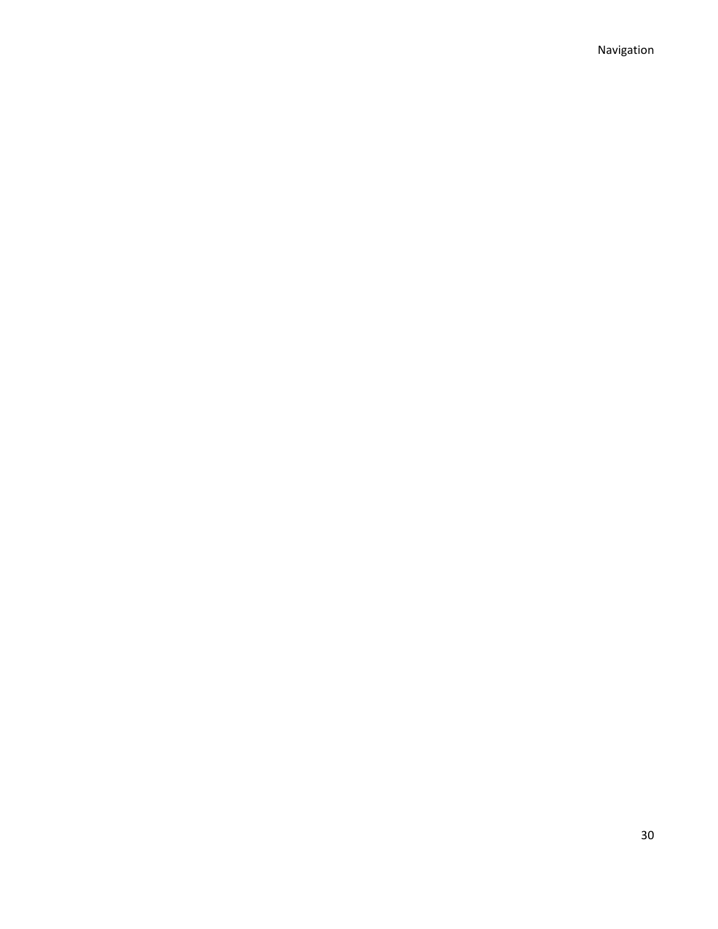Navigation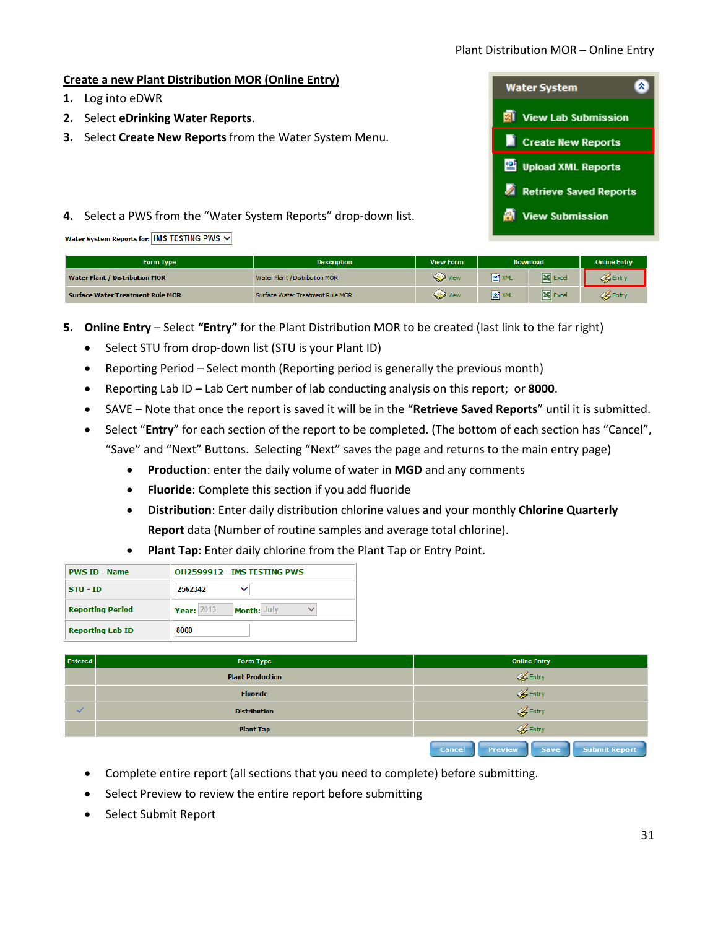# **Create a new Plant Distribution MOR (Online Entry)**

- **1.** Log into eDWR
- **2.** Select **eDrinking Water Reports**.
- **3.** Select **Create New Reports** from the Water System Menu.
- **4.** Select a PWS from the "Water System Reports" drop-down list.

| Water System Reports for: IMS TESTING PWS $\vee$ |  |
|--------------------------------------------------|--|
|--------------------------------------------------|--|

| <b>Form Type</b>                        | <b>Description</b>               | <b>View Form</b>  | <b>Download</b>  |                | <b>Online Entry</b> |
|-----------------------------------------|----------------------------------|-------------------|------------------|----------------|---------------------|
| <b>Water Plant / Distribution MOR</b>   | Water Plant / Distribution MOR   |                   | <sup>2</sup> XML | <b>X</b> Excel | Entry               |
| <b>Surface Water Treatment Rule MOR</b> | Surface Water Treatment Rule MOR | View <b>Start</b> | <b>I'ME</b>      | <b>X</b> Excel | Entry               |

- **5. Online Entry** Select **"Entry"** for the Plant Distribution MOR to be created (last link to the far right)
	- Select STU from drop-down list (STU is your Plant ID)
	- Reporting Period Select month (Reporting period is generally the previous month)
	- Reporting Lab ID Lab Cert number of lab conducting analysis on this report; or **8000**.
	- SAVE Note that once the report is saved it will be in the "**Retrieve Saved Reports**" until it is submitted.
	- Select "**Entry**" for each section of the report to be completed. (The bottom of each section has "Cancel", "Save" and "Next" Buttons. Selecting "Next" saves the page and returns to the main entry page)
		- **Production**: enter the daily volume of water in **MGD** and any comments
		- **Fluoride**: Complete this section if you add fluoride
		- **Distribution**: Enter daily distribution chlorine values and your monthly **Chlorine Quarterly Report** data (Number of routine samples and average total chlorine).
		- **Plant Tap**: Enter daily chlorine from the Plant Tap or Entry Point.

| <b>PWS ID - Name</b>    | OH2599912 - IMS TESTING PWS               |  |  |
|-------------------------|-------------------------------------------|--|--|
| $STU - ID$              | 2562342                                   |  |  |
| <b>Reporting Period</b> | <b>Year:</b> $2013$<br><b>Month: July</b> |  |  |
| <b>Reporting Lab ID</b> | 8000                                      |  |  |

| <b>Entered</b> | <b>Form Type</b>        | <b>Online Entry</b>                               |  |  |  |  |
|----------------|-------------------------|---------------------------------------------------|--|--|--|--|
|                | <b>Plant Production</b> | Entry                                             |  |  |  |  |
|                | <b>Fluoride</b>         | Entry                                             |  |  |  |  |
| $\sqrt{}$      | <b>Distribution</b>     | Entry                                             |  |  |  |  |
|                | <b>Plant Tap</b>        | Entry                                             |  |  |  |  |
|                |                         | Save<br><b>Submit Report</b><br>Cancel<br>Preview |  |  |  |  |

- Complete entire report (all sections that you need to complete) before submitting.
- Select Preview to review the entire report before submitting
- Select Submit Report

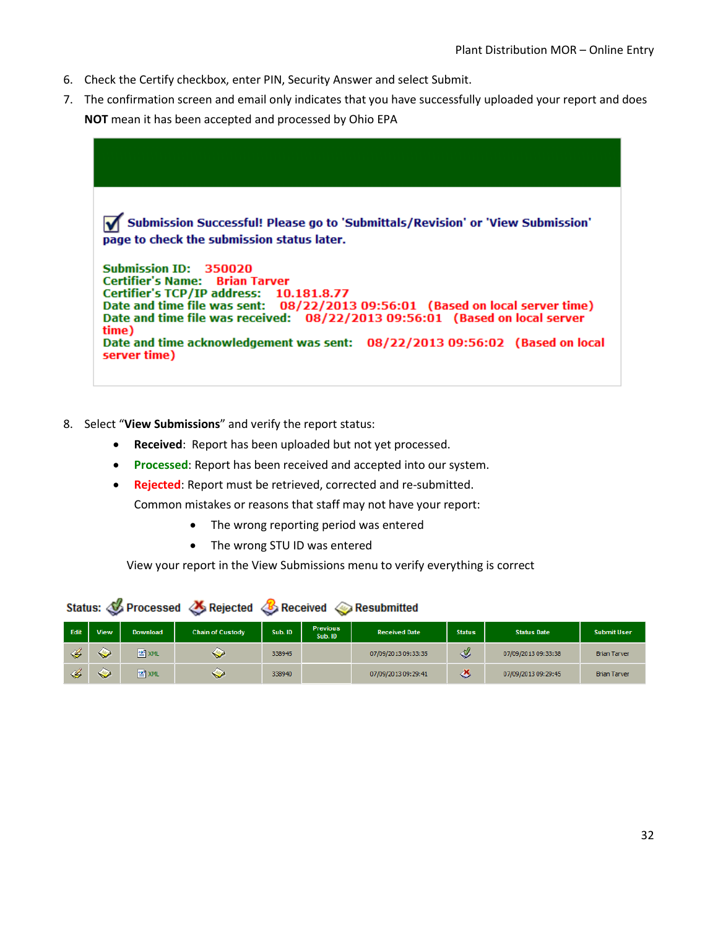- 6. Check the Certify checkbox, enter PIN, Security Answer and select Submit.
- 7. The confirmation screen and email only indicates that you have successfully uploaded your report and does **NOT** mean it has been accepted and processed by Ohio EPA

Submission Successful! Please go to 'Submittals/Revision' or 'View Submission' page to check the submission status later.

```
Submission ID: 350020
Certifier's Name: Brian Tarver
Certifier's TCP/IP address: 10.181.8.77<br>Date and time file was sent: 08/22/2013 09:56:01 (Based on local server time)
Date and time file was received: 08/22/2013 09:56:01 (Based on local server
time)
Date and time acknowledgement was sent: 08/22/2013 09:56:02 (Based on local
server time)
```
- 8. Select "**View Submissions**" and verify the report status:
	- **Received**: Report has been uploaded but not yet processed.
	- **Processed**: Report has been received and accepted into our system.
	- **Rejected**: Report must be retrieved, corrected and re-submitted.

Common mistakes or reasons that staff may not have your report:

- The wrong reporting period was entered
- The wrong STU ID was entered

View your report in the View Submissions menu to verify everything is correct

|      | Status: <b>OD</b> Processed <b>&amp;</b> Rejected <b>&amp;</b> Received <b>C</b> Resubmitted |                 |                         |         |                            |                      |               |                     |                     |
|------|----------------------------------------------------------------------------------------------|-----------------|-------------------------|---------|----------------------------|----------------------|---------------|---------------------|---------------------|
| Edit | <b>View</b>                                                                                  | <b>Download</b> | <b>Chain of Custody</b> | Sub. ID | <b>Previous</b><br>Sub. ID | <b>Received Date</b> | <b>Status</b> | <b>Status Date</b>  | <b>Submit User</b>  |
| Â,   | ❤                                                                                            | ≌ XML           | ❤                       | 338945  |                            | 07/09/2013 09:33:35  | ℐ             | 07/09/2013 09:33:38 | <b>Brian Tarver</b> |
| Ø,   | ❤                                                                                            | ≌ XML           | ❤                       | 338940  |                            | 07/09/2013 09:29:41  | ♨             | 07/09/2013 09:29:45 | <b>Brian Tarver</b> |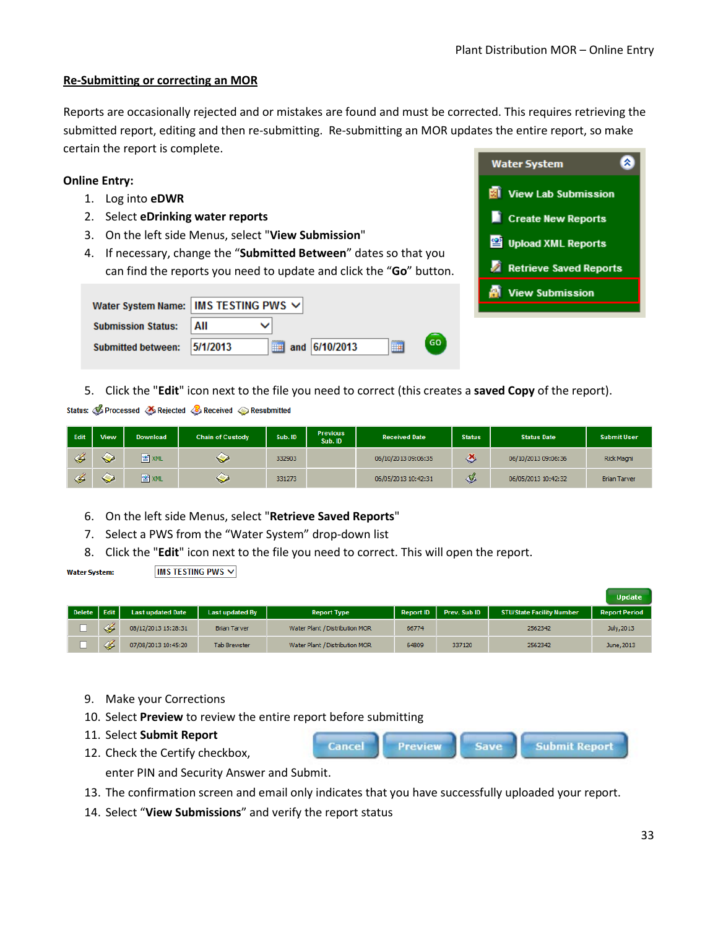**Water System** 

View Lab Submission

Create New Reports

Upload XML Reports

Retrieve Saved Reports

交

## **Re-Submitting or correcting an MOR**

Reports are occasionally rejected and or mistakes are found and must be corrected. This requires retrieving the submitted report, editing and then re-submitting. Re-submitting an MOR updates the entire report, so make certain the report is complete.

## **Online Entry:**

- 1. Log into **eDWR**
- 2. Select **eDrinking water reports**
- 3. On the left side Menus, select "**View Submission**"
- 4. If necessary, change the "**Submitted Between**" dates so that you can find the reports you need to update and click the "**Go**" button.

|                           | Water System Name:   IMS TESTING PWS V     | <b>M</b> View Submission |
|---------------------------|--------------------------------------------|--------------------------|
| <b>Submission Status:</b> | All                                        |                          |
| <b>Submitted between:</b> | GO.<br>I<br>m<br>and 6/10/2013<br>5/1/2013 |                          |

5. Click the "**Edit**" icon next to the file you need to correct (this creates a **saved Copy** of the report).

Status: **Status:** Processed & Rejected & Received & Resubmitted

| Edit          | <b>View</b>              | <b>Download</b> | <b>Chain of Custody</b> | Sub. ID | <b>Previous</b><br>Sub. ID | <b>Received Date</b> | <b>Status</b> | <b>Status Date</b>  | <b>Submit User</b>  |
|---------------|--------------------------|-----------------|-------------------------|---------|----------------------------|----------------------|---------------|---------------------|---------------------|
| $\mathscr{G}$ | $\overline{\phantom{0}}$ | <b>I'ON XML</b> | $\sim$                  | 332903  |                            | 06/10/2013 09:06:35  | ङ             | 06/10/2013 09:06:36 | Rick Magni          |
| $\mathscr{G}$ |                          | ≌ XML           | $\checkmark$            | 331273  |                            | 06/05/2013 10:42:31  | I             | 06/05/2013 10:42:32 | <b>Brian Tarver</b> |

- 6. On the left side Menus, select "**Retrieve Saved Reports**"
- 7. Select a PWS from the "Water System" drop-down list
- 8. Click the "**Edit**" icon next to the file you need to correct. This will open the report.

**Water System:** 

**IMS TESTING PWS**  $\vee$ 

|               |    |                          |                     |                                |                  |              |                                  | <b>Update</b>        |
|---------------|----|--------------------------|---------------------|--------------------------------|------------------|--------------|----------------------------------|----------------------|
| Delete   Edit |    | <b>Last updated Date</b> | Last updated By     | <b>Report Type</b>             | <b>Report ID</b> | Prev. Sub ID | <b>STU/State Facility Number</b> | <b>Report Period</b> |
|               | Â, | 08/12/2013 15:28:31      | <b>Brian Tarver</b> | Water Plant / Distribution MOR | 66774            |              | 2562342                          | July, 2013           |
|               | Â, | 07/08/2013 10:45:20      | Tab Brewster        | Water Plant / Distribution MOR | 64809            | 337120       | 2562342                          | June, 2013           |

- 9. Make your Corrections
- 10. Select **Preview** to review the entire report before submitting
- 11. Select **Submit Report**

12. Check the Certify checkbox,

**Submit Report** Cancel Preview Save

enter PIN and Security Answer and Submit.

- 13. The confirmation screen and email only indicates that you have successfully uploaded your report.
- 14. Select "**View Submissions**" and verify the report status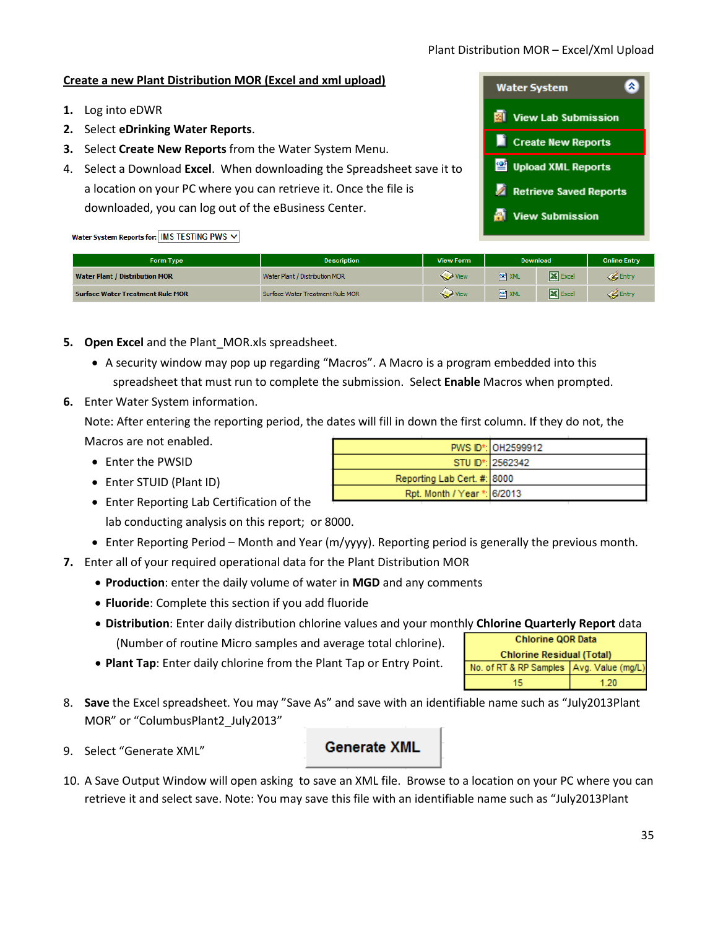# **Create a new Plant Distribution MOR (Excel and xml upload)**

- **1.** Log into eDWR
- **2.** Select **eDrinking Water Reports**.
- **3.** Select **Create New Reports** from the Water System Menu.
- 4. Select a Download **Excel**. When downloading the Spreadsheet save it to a location on your PC where you can retrieve it. Once the file is downloaded, you can log out of the eBusiness Center.

| <b>Water System</b>            |
|--------------------------------|
| <b>Wi</b> View Lab Submission  |
| <b>Create New Reports</b><br>n |
| Upload XML Reports             |
| Retrieve Saved Reports         |
| <b>View Submission</b>         |

#### Water System Reports for: IMS TESTING PWS  $\vee$

| Form Type                               | <b>Description</b>               | <b>View Form</b> |        | <b>Download</b> | <b>Online Entry</b> |
|-----------------------------------------|----------------------------------|------------------|--------|-----------------|---------------------|
| <b>Water Plant / Distribution MOR</b>   | Water Plant / Distribution MOR   | View             | po XML | <b>X</b> Excel  | C Entry             |
| <b>Surface Water Treatment Rule MOR</b> | Surface Water Treatment Rule MOR | View             | 图 XML  | <b>X</b> Excel  | C Entry             |

- **5. Open Excel** and the Plant\_MOR.xls spreadsheet.
	- A security window may pop up regarding "Macros". A Macro is a program embedded into this spreadsheet that must run to complete the submission. Select **Enable** Macros when prompted.
- **6.** Enter Water System information.

Note: After entering the reporting period, the dates will fill in down the first column. If they do not, the Macros are not enabled.

- Enter the PWSID
- Enter STUID (Plant ID)
- Enter Reporting Lab Certification of the lab conducting analysis on this report; or 8000.
- Enter Reporting Period Month and Year (m/yyyy). Reporting period is generally the previous month.
- **7.** Enter all of your required operational data for the Plant Distribution MOR
	- **Production**: enter the daily volume of water in **MGD** and any comments
	- **Fluoride**: Complete this section if you add fluoride
	- **Distribution**: Enter daily distribution chlorine values and your monthly **Chlorine Quarterly Report** data **Chlorine QOR Data** (Number of routine Micro samples and average total chlorine). **Chlorine Residual (Total)**
	- **Plant Tap**: Enter daily chlorine from the Plant Tap or Entry Point.
- 8. **Save** the Excel spreadsheet. You may "Save As" and save with an identifiable name such as "July2013Plant MOR" or "ColumbusPlant2\_July2013"
- 9. Select "Generate XML"

# **Generate XML**

10. A Save Output Window will open asking to save an XML file. Browse to a location on your PC where you can retrieve it and select save. Note: You may save this file with an identifiable name such as "July2013Plant

|                             | PWS ID*: 0H2599912            |
|-----------------------------|-------------------------------|
|                             | STU ID <sup>*</sup> : 2562342 |
| Reporting Lab Cert. #: 8000 |                               |
| Rpt. Month / Year *: 6/2013 |                               |

No. of RT & RP Samples | Avg. Value (mg/L)

1.20

15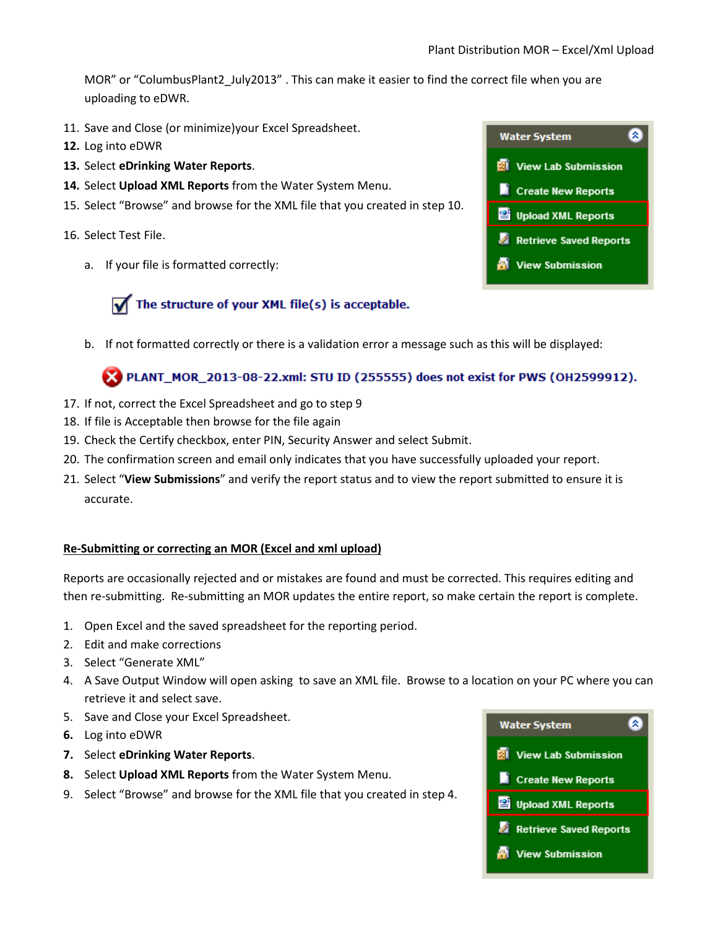MOR" or "ColumbusPlant2\_July2013" . This can make it easier to find the correct file when you are uploading to eDWR.

- 11. Save and Close (or minimize)your Excel Spreadsheet.
- **12.** Log into eDWR
- **13.** Select **eDrinking Water Reports**.
- **14.** Select **Upload XML Reports** from the Water System Menu.
- 15. Select "Browse" and browse for the XML file that you created in step 10.
- 16. Select Test File.
	- a. If your file is formatted correctly:





b. If not formatted correctly or there is a validation error a message such as this will be displayed:

# X PLANT\_MOR\_2013-08-22.xml: STU ID (255555) does not exist for PWS (OH2599912).

- 17. If not, correct the Excel Spreadsheet and go to step 9
- 18. If file is Acceptable then browse for the file again
- 19. Check the Certify checkbox, enter PIN, Security Answer and select Submit.
- 20. The confirmation screen and email only indicates that you have successfully uploaded your report.
- 21. Select "**View Submissions**" and verify the report status and to view the report submitted to ensure it is accurate.

## **Re-Submitting or correcting an MOR (Excel and xml upload)**

Reports are occasionally rejected and or mistakes are found and must be corrected. This requires editing and then re-submitting. Re-submitting an MOR updates the entire report, so make certain the report is complete.

- 1. Open Excel and the saved spreadsheet for the reporting period.
- 2. Edit and make corrections
- 3. Select "Generate XML"
- 4. A Save Output Window will open asking to save an XML file. Browse to a location on your PC where you can retrieve it and select save.
- 5. Save and Close your Excel Spreadsheet.
- **6.** Log into eDWR
- **7.** Select **eDrinking Water Reports**.
- **8.** Select **Upload XML Reports** from the Water System Menu.
- 9. Select "Browse" and browse for the XML file that you created in step 4.

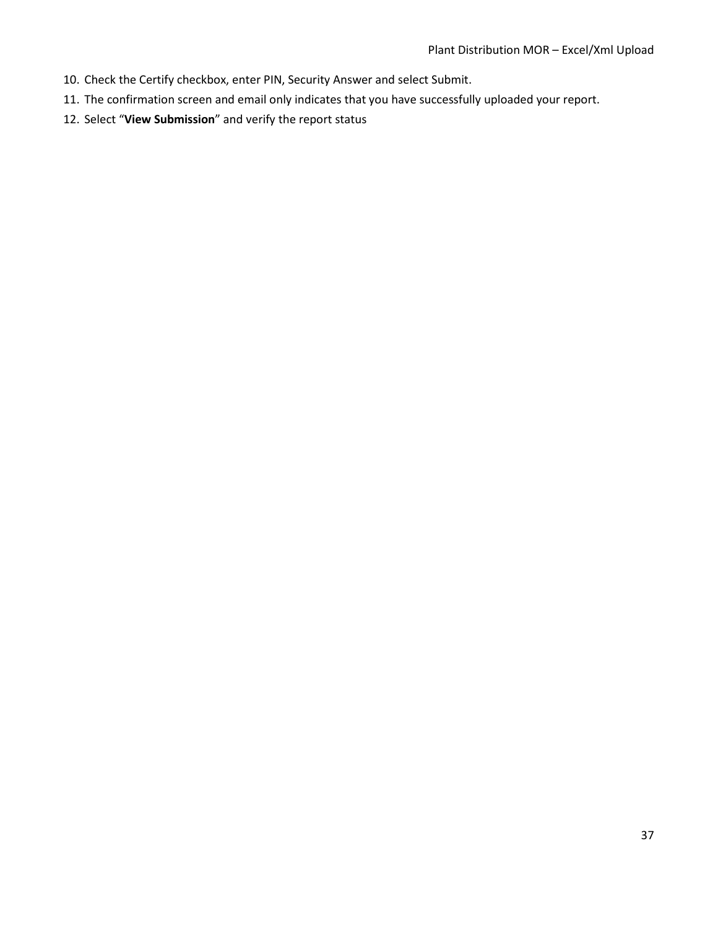- 10. Check the Certify checkbox, enter PIN, Security Answer and select Submit.
- 11. The confirmation screen and email only indicates that you have successfully uploaded your report.
- 12. Select "**View Submission**" and verify the report status